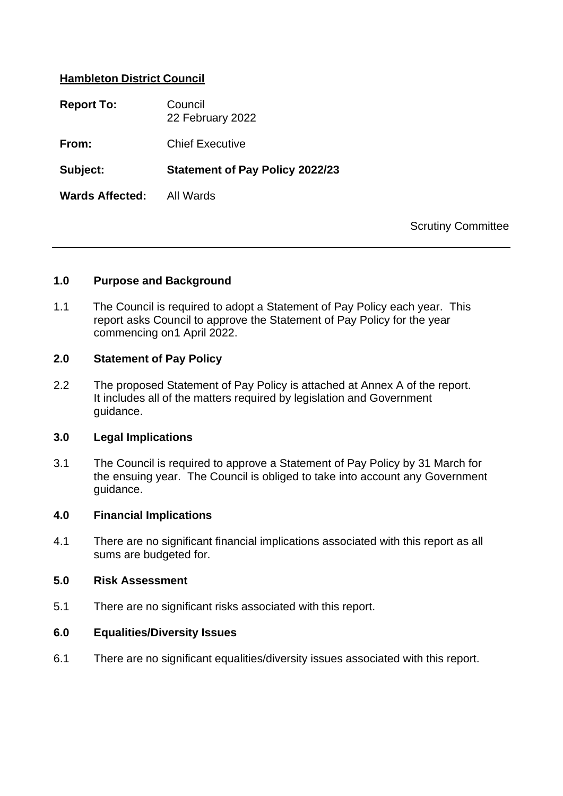# **Hambleton District Council**

| <b>Report To:</b>      | Council<br>22 February 2022            |
|------------------------|----------------------------------------|
| From:                  | <b>Chief Executive</b>                 |
| Subject:               | <b>Statement of Pay Policy 2022/23</b> |
| <b>Wards Affected:</b> | All Wards                              |

Scrutiny Committee

### **1.0 Purpose and Background**

1.1 The Council is required to adopt a Statement of Pay Policy each year. This report asks Council to approve the Statement of Pay Policy for the year commencing on1 April 2022.

#### **2.0 Statement of Pay Policy**

2.2 The proposed Statement of Pay Policy is attached at Annex A of the report. It includes all of the matters required by legislation and Government guidance.

#### **3.0 Legal Implications**

3.1 The Council is required to approve a Statement of Pay Policy by 31 March for the ensuing year. The Council is obliged to take into account any Government guidance.

#### **4.0 Financial Implications**

4.1 There are no significant financial implications associated with this report as all sums are budgeted for.

#### **5.0 Risk Assessment**

5.1 There are no significant risks associated with this report.

### **6.0 Equalities/Diversity Issues**

6.1 There are no significant equalities/diversity issues associated with this report.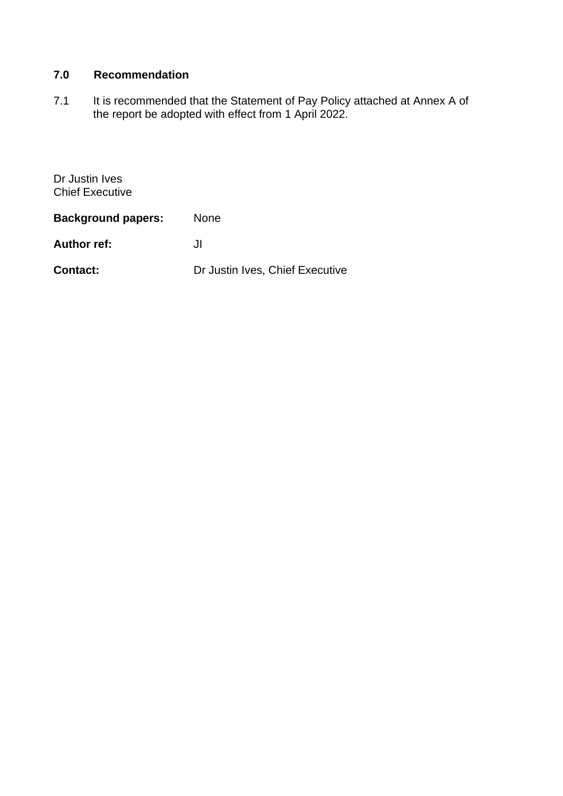# **7.0 Recommendation**

7.1 It is recommended that the Statement of Pay Policy attached at Annex A of the report be adopted with effect from 1 April 2022.

Dr Justin Ives Chief Executive

| <b>Background papers:</b> | <b>None</b>                     |
|---------------------------|---------------------------------|
| <b>Author ref:</b>        | JI.                             |
| <b>Contact:</b>           | Dr Justin Ives, Chief Executive |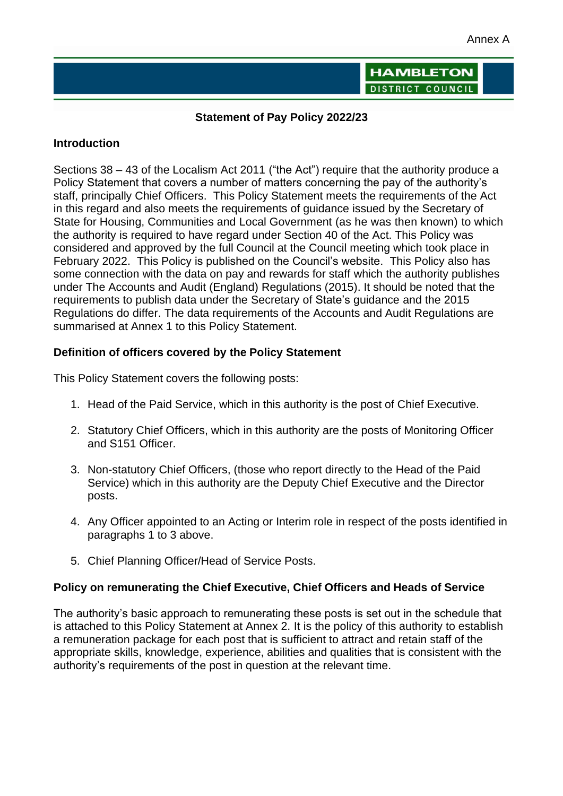**HAMBLETON** DISTRICT COUNCIL

### **Statement of Pay Policy 2022/23**

### **Introduction**

Sections 38 – 43 of the Localism Act 2011 ("the Act") require that the authority produce a Policy Statement that covers a number of matters concerning the pay of the authority's staff, principally Chief Officers. This Policy Statement meets the requirements of the Act in this regard and also meets the requirements of guidance issued by the Secretary of State for Housing, Communities and Local Government (as he was then known) to which the authority is required to have regard under Section 40 of the Act. This Policy was considered and approved by the full Council at the Council meeting which took place in February 2022. This Policy is published on the Council's website. This Policy also has some connection with the data on pay and rewards for staff which the authority publishes under The Accounts and Audit (England) Regulations (2015). It should be noted that the requirements to publish data under the Secretary of State's guidance and the 2015 Regulations do differ. The data requirements of the Accounts and Audit Regulations are summarised at Annex 1 to this Policy Statement.

### **Definition of officers covered by the Policy Statement**

This Policy Statement covers the following posts:

- 1. Head of the Paid Service, which in this authority is the post of Chief Executive.
- 2. Statutory Chief Officers, which in this authority are the posts of Monitoring Officer and S151 Officer.
- 3. Non-statutory Chief Officers, (those who report directly to the Head of the Paid Service) which in this authority are the Deputy Chief Executive and the Director posts.
- 4. Any Officer appointed to an Acting or Interim role in respect of the posts identified in paragraphs 1 to 3 above.
- 5. Chief Planning Officer/Head of Service Posts.

### **Policy on remunerating the Chief Executive, Chief Officers and Heads of Service**

The authority's basic approach to remunerating these posts is set out in the schedule that is attached to this Policy Statement at Annex 2. It is the policy of this authority to establish a remuneration package for each post that is sufficient to attract and retain staff of the appropriate skills, knowledge, experience, abilities and qualities that is consistent with the authority's requirements of the post in question at the relevant time.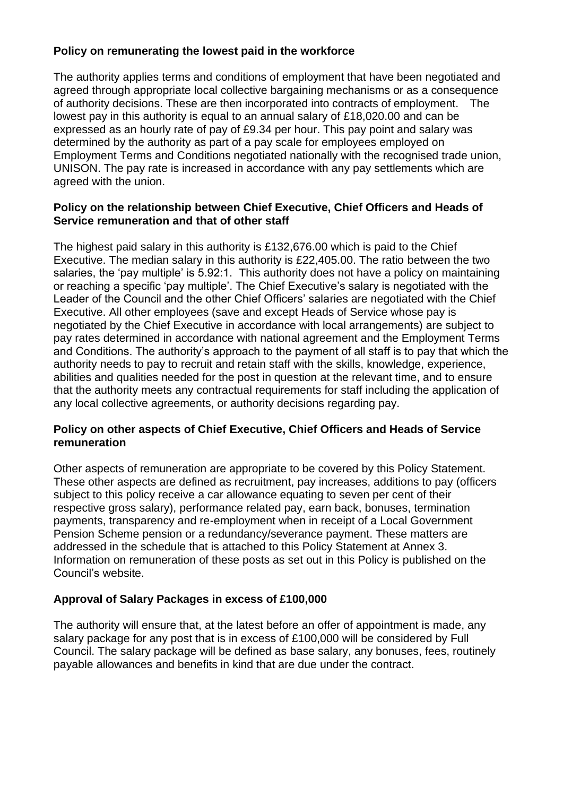# **Policy on remunerating the lowest paid in the workforce**

The authority applies terms and conditions of employment that have been negotiated and agreed through appropriate local collective bargaining mechanisms or as a consequence of authority decisions. These are then incorporated into contracts of employment. The lowest pay in this authority is equal to an annual salary of £18,020.00 and can be expressed as an hourly rate of pay of £9.34 per hour. This pay point and salary was determined by the authority as part of a pay scale for employees employed on Employment Terms and Conditions negotiated nationally with the recognised trade union, UNISON. The pay rate is increased in accordance with any pay settlements which are agreed with the union.

### **Policy on the relationship between Chief Executive, Chief Officers and Heads of Service remuneration and that of other staff**

The highest paid salary in this authority is £132,676.00 which is paid to the Chief Executive. The median salary in this authority is £22,405.00. The ratio between the two salaries, the 'pay multiple' is 5.92:1. This authority does not have a policy on maintaining or reaching a specific 'pay multiple'. The Chief Executive's salary is negotiated with the Leader of the Council and the other Chief Officers' salaries are negotiated with the Chief Executive. All other employees (save and except Heads of Service whose pay is negotiated by the Chief Executive in accordance with local arrangements) are subject to pay rates determined in accordance with national agreement and the Employment Terms and Conditions. The authority's approach to the payment of all staff is to pay that which the authority needs to pay to recruit and retain staff with the skills, knowledge, experience, abilities and qualities needed for the post in question at the relevant time, and to ensure that the authority meets any contractual requirements for staff including the application of any local collective agreements, or authority decisions regarding pay.

### **Policy on other aspects of Chief Executive, Chief Officers and Heads of Service remuneration**

Other aspects of remuneration are appropriate to be covered by this Policy Statement. These other aspects are defined as recruitment, pay increases, additions to pay (officers subject to this policy receive a car allowance equating to seven per cent of their respective gross salary), performance related pay, earn back, bonuses, termination payments, transparency and re-employment when in receipt of a Local Government Pension Scheme pension or a redundancy/severance payment. These matters are addressed in the schedule that is attached to this Policy Statement at Annex 3. Information on remuneration of these posts as set out in this Policy is published on the Council's website.

### **Approval of Salary Packages in excess of £100,000**

The authority will ensure that, at the latest before an offer of appointment is made, any salary package for any post that is in excess of £100,000 will be considered by Full Council. The salary package will be defined as base salary, any bonuses, fees, routinely payable allowances and benefits in kind that are due under the contract.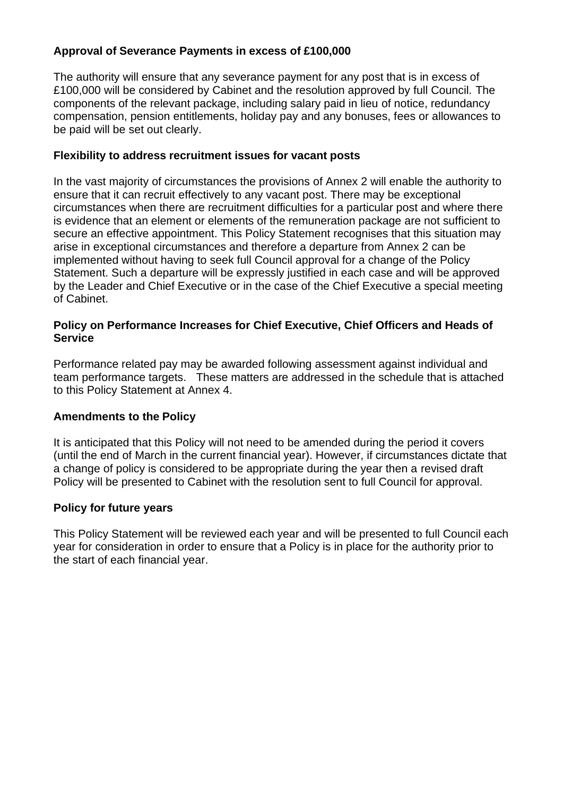# **Approval of Severance Payments in excess of £100,000**

The authority will ensure that any severance payment for any post that is in excess of £100,000 will be considered by Cabinet and the resolution approved by full Council. The components of the relevant package, including salary paid in lieu of notice, redundancy compensation, pension entitlements, holiday pay and any bonuses, fees or allowances to be paid will be set out clearly.

## **Flexibility to address recruitment issues for vacant posts**

In the vast majority of circumstances the provisions of Annex 2 will enable the authority to ensure that it can recruit effectively to any vacant post. There may be exceptional circumstances when there are recruitment difficulties for a particular post and where there is evidence that an element or elements of the remuneration package are not sufficient to secure an effective appointment. This Policy Statement recognises that this situation may arise in exceptional circumstances and therefore a departure from Annex 2 can be implemented without having to seek full Council approval for a change of the Policy Statement. Such a departure will be expressly justified in each case and will be approved by the Leader and Chief Executive or in the case of the Chief Executive a special meeting of Cabinet.

### **Policy on Performance Increases for Chief Executive, Chief Officers and Heads of Service**

Performance related pay may be awarded following assessment against individual and team performance targets. These matters are addressed in the schedule that is attached to this Policy Statement at Annex 4.

# **Amendments to the Policy**

It is anticipated that this Policy will not need to be amended during the period it covers (until the end of March in the current financial year). However, if circumstances dictate that a change of policy is considered to be appropriate during the year then a revised draft Policy will be presented to Cabinet with the resolution sent to full Council for approval.

# **Policy for future years**

This Policy Statement will be reviewed each year and will be presented to full Council each year for consideration in order to ensure that a Policy is in place for the authority prior to the start of each financial year.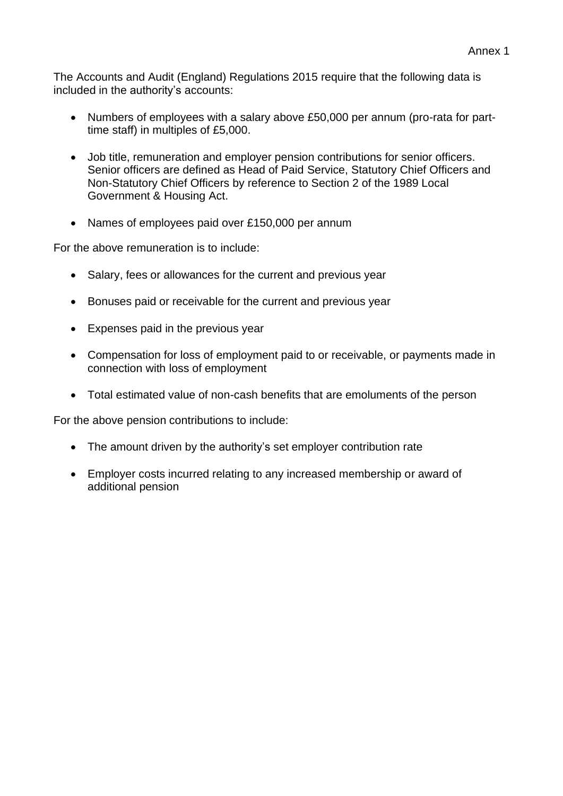The Accounts and Audit (England) Regulations 2015 require that the following data is included in the authority's accounts:

- Numbers of employees with a salary above £50,000 per annum (pro-rata for parttime staff) in multiples of £5,000.
- Job title, remuneration and employer pension contributions for senior officers. Senior officers are defined as Head of Paid Service, Statutory Chief Officers and Non-Statutory Chief Officers by reference to Section 2 of the 1989 Local Government & Housing Act.
- Names of employees paid over £150,000 per annum

For the above remuneration is to include:

- Salary, fees or allowances for the current and previous year
- Bonuses paid or receivable for the current and previous year
- Expenses paid in the previous year
- Compensation for loss of employment paid to or receivable, or payments made in connection with loss of employment
- Total estimated value of non-cash benefits that are emoluments of the person

For the above pension contributions to include:

- The amount driven by the authority's set employer contribution rate
- Employer costs incurred relating to any increased membership or award of additional pension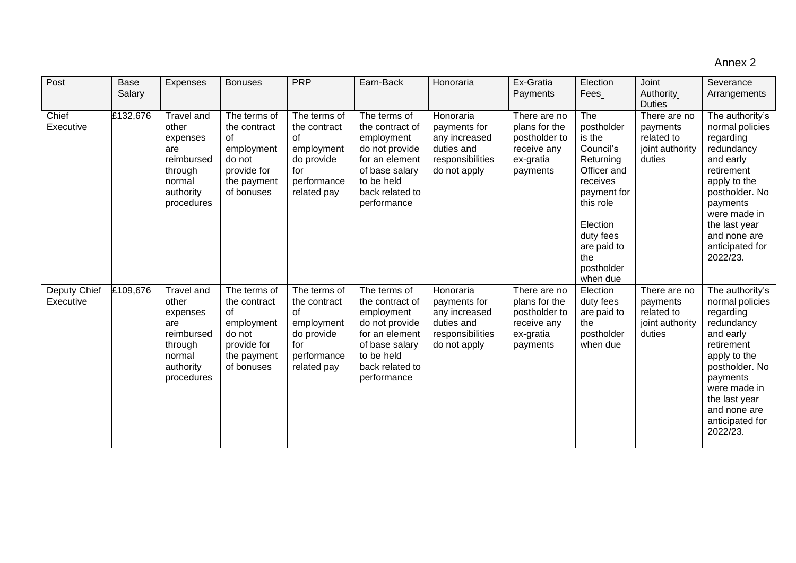### Annex 2

| Post                      | <b>Base</b><br>Salary | Expenses                                                                                                    | <b>Bonuses</b>                                                                                                 | <b>PRP</b>                                                                                          | Earn-Back                                                                                                                                           | Honoraria                                                                                    | Ex-Gratia<br>Payments                                                                  | Election<br>Fees                                                                                                                                                                      | Joint<br>Authority<br><b>Duties</b>                                 | Severance<br>Arrangements                                                                                                                                                                                              |
|---------------------------|-----------------------|-------------------------------------------------------------------------------------------------------------|----------------------------------------------------------------------------------------------------------------|-----------------------------------------------------------------------------------------------------|-----------------------------------------------------------------------------------------------------------------------------------------------------|----------------------------------------------------------------------------------------------|----------------------------------------------------------------------------------------|---------------------------------------------------------------------------------------------------------------------------------------------------------------------------------------|---------------------------------------------------------------------|------------------------------------------------------------------------------------------------------------------------------------------------------------------------------------------------------------------------|
| Chief<br>Executive        | £132,676              | Travel and<br>other<br>expenses<br>are<br>reimbursed<br>through<br>normal<br>authority<br>procedures        | The terms of<br>the contract<br>$\sigma$ f<br>employment<br>do not<br>provide for<br>the payment<br>of bonuses | The terms of<br>the contract<br>of<br>employment<br>do provide<br>for<br>performance<br>related pay | The terms of<br>the contract of<br>employment<br>do not provide<br>for an element<br>of base salary<br>to be held<br>back related to<br>performance | Honoraria<br>payments for<br>any increased<br>duties and<br>responsibilities<br>do not apply | There are no<br>plans for the<br>postholder to<br>receive any<br>ex-gratia<br>payments | The<br>postholder<br>is the<br>Council's<br>Returning<br>Officer and<br>receives<br>payment for<br>this role<br>Election<br>duty fees<br>are paid to<br>the<br>postholder<br>when due | There are no<br>payments<br>related to<br>joint authority<br>duties | The authority's<br>normal policies<br>regarding<br>redundancy<br>and early<br>retirement<br>apply to the<br>postholder. No<br>payments<br>were made in<br>the last year<br>and none are<br>anticipated for<br>2022/23. |
| Deputy Chief<br>Executive | £109,676              | <b>Travel and</b><br>other<br>expenses<br>are<br>reimbursed<br>through<br>normal<br>authority<br>procedures | The terms of<br>the contract<br>of<br>employment<br>do not<br>provide for<br>the payment<br>of bonuses         | The terms of<br>the contract<br>of<br>employment<br>do provide<br>for<br>performance<br>related pay | The terms of<br>the contract of<br>employment<br>do not provide<br>for an element<br>of base salary<br>to be held<br>back related to<br>performance | Honoraria<br>payments for<br>any increased<br>duties and<br>responsibilities<br>do not apply | There are no<br>plans for the<br>postholder to<br>receive any<br>ex-gratia<br>payments | Election<br>duty fees<br>are paid to<br>the<br>postholder<br>when due                                                                                                                 | There are no<br>payments<br>related to<br>joint authority<br>duties | The authority's<br>normal policies<br>regarding<br>redundancy<br>and early<br>retirement<br>apply to the<br>postholder. No<br>payments<br>were made in<br>the last year<br>and none are<br>anticipated for<br>2022/23. |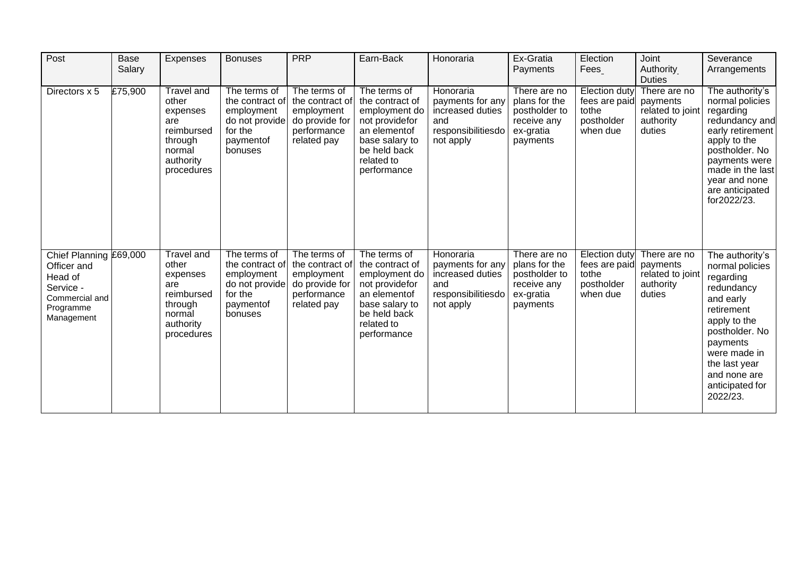| Post                                                                                                       | <b>Base</b><br>Salary | Expenses                                                                                                    | <b>Bonuses</b>                                                                                     | <b>PRP</b>                                                                                    | Earn-Back                                                                                                                                         | Honoraria                                                                                   | Ex-Gratia<br>Payments                                                                  | Election<br>Fees                                                         | Joint<br>Authority<br><b>Duties</b>                                 | Severance<br>Arrangements                                                                                                                                                                                              |
|------------------------------------------------------------------------------------------------------------|-----------------------|-------------------------------------------------------------------------------------------------------------|----------------------------------------------------------------------------------------------------|-----------------------------------------------------------------------------------------------|---------------------------------------------------------------------------------------------------------------------------------------------------|---------------------------------------------------------------------------------------------|----------------------------------------------------------------------------------------|--------------------------------------------------------------------------|---------------------------------------------------------------------|------------------------------------------------------------------------------------------------------------------------------------------------------------------------------------------------------------------------|
| Directors x 5                                                                                              | £75,900               | <b>Travel and</b><br>other<br>expenses<br>are<br>reimbursed<br>through<br>normal<br>authority<br>procedures | The terms of<br>the contract of<br>employment<br>do not provide<br>for the<br>paymentof<br>bonuses | The terms of<br>the contract of<br>employment<br>do provide for<br>performance<br>related pay | The terms of<br>the contract of<br>employment do<br>not providefor<br>an elementof<br>base salary to<br>be held back<br>related to<br>performance | Honoraria<br>payments for any<br>increased duties<br>and<br>responsibilitiesdo<br>not apply | There are no<br>plans for the<br>postholder to<br>receive any<br>ex-gratia<br>payments | Election duty<br>fees are paid<br>tothe<br>postholder<br>when due        | There are no<br>payments<br>related to joint<br>authority<br>duties | The authority's<br>normal policies<br>regarding<br>redundancy and<br>early retirement<br>apply to the<br>postholder. No<br>payments were<br>made in the last<br>year and none<br>are anticipated<br>for2022/23.        |
| Chief Planning £69,000<br>Officer and<br>Head of<br>Service -<br>Commercial and<br>Programme<br>Management |                       | <b>Travel and</b><br>other<br>expenses<br>are<br>reimbursed<br>through<br>normal<br>authority<br>procedures | The terms of<br>the contract of<br>employment<br>do not provide<br>for the<br>paymentof<br>bonuses | The terms of<br>the contract of<br>employment<br>do provide for<br>performance<br>related pay | The terms of<br>the contract of<br>employment do<br>not providefor<br>an elementof<br>base salary to<br>be held back<br>related to<br>performance | Honoraria<br>payments for any<br>increased duties<br>and<br>responsibilitiesdo<br>not apply | There are no<br>plans for the<br>postholder to<br>receive any<br>ex-gratia<br>payments | <b>Election duty</b><br>fees are paid<br>tothe<br>postholder<br>when due | There are no<br>payments<br>related to joint<br>authority<br>duties | The authority's<br>normal policies<br>regarding<br>redundancy<br>and early<br>retirement<br>apply to the<br>postholder. No<br>payments<br>were made in<br>the last year<br>and none are<br>anticipated for<br>2022/23. |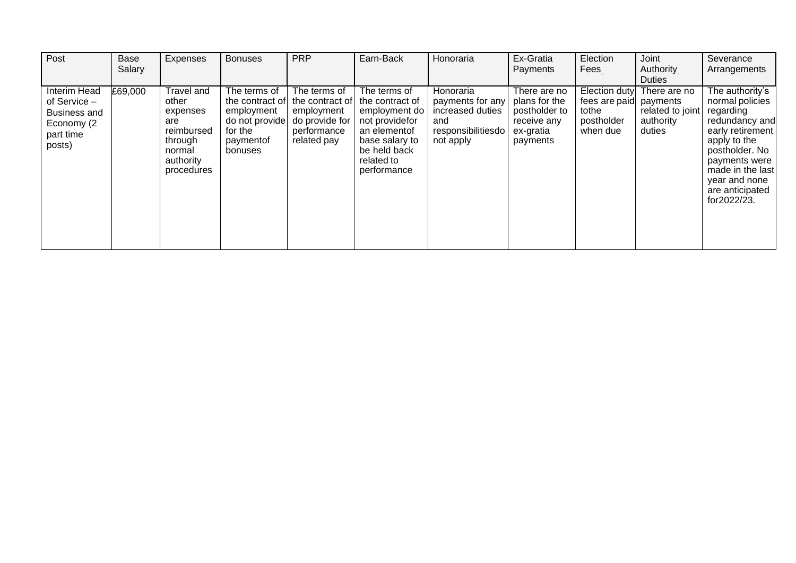| Post                                                                                     | <b>Base</b> | Expenses                                                                                             | <b>Bonuses</b>                                                                                     | <b>PRP</b>                                                                                    | Earn-Back                                                                                                                                         | Honoraria                                                                                   | Ex-Gratia                                                                              | Election                                                                   | Joint                                                   | Severance                                                                                                                                                                                                       |
|------------------------------------------------------------------------------------------|-------------|------------------------------------------------------------------------------------------------------|----------------------------------------------------------------------------------------------------|-----------------------------------------------------------------------------------------------|---------------------------------------------------------------------------------------------------------------------------------------------------|---------------------------------------------------------------------------------------------|----------------------------------------------------------------------------------------|----------------------------------------------------------------------------|---------------------------------------------------------|-----------------------------------------------------------------------------------------------------------------------------------------------------------------------------------------------------------------|
|                                                                                          | Salary      |                                                                                                      |                                                                                                    |                                                                                               |                                                                                                                                                   |                                                                                             | Payments                                                                               | Fees                                                                       | Authority<br><b>Duties</b>                              | Arrangements                                                                                                                                                                                                    |
| <b>Interim Head</b><br>of Service -<br>Business and<br>Economy (2<br>part time<br>posts) | £69,000     | Travel and<br>other<br>expenses<br>are<br>reimbursed<br>through<br>normal<br>authority<br>procedures | The terms of<br>the contract of<br>employment<br>do not provide<br>for the<br>paymentof<br>bonuses | The terms of<br>the contract of<br>employment<br>do provide for<br>performance<br>related pay | The terms of<br>the contract of<br>employment do<br>not providefor<br>an elementof<br>base salary to<br>be held back<br>related to<br>performance | Honoraria<br>payments for any<br>increased duties<br>and<br>responsibilitiesdo<br>not apply | There are no<br>plans for the<br>postholder to<br>receive any<br>ex-gratia<br>payments | Election duty<br>fees are paid payments<br>tothe<br>postholder<br>when due | There are no<br>related to joint<br>authority<br>duties | The authority's<br>normal policies<br>regarding<br>redundancy and<br>early retirement<br>apply to the<br>postholder. No<br>payments were<br>made in the last<br>year and none<br>are anticipated<br>for2022/23. |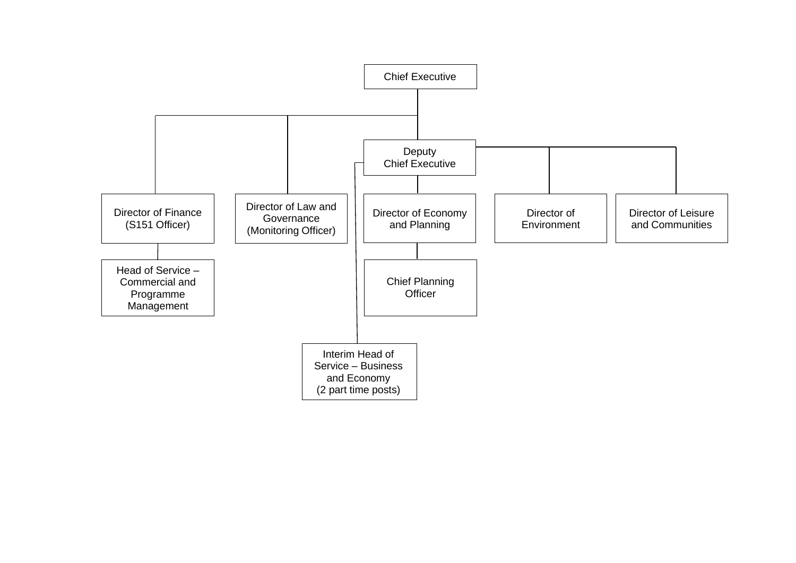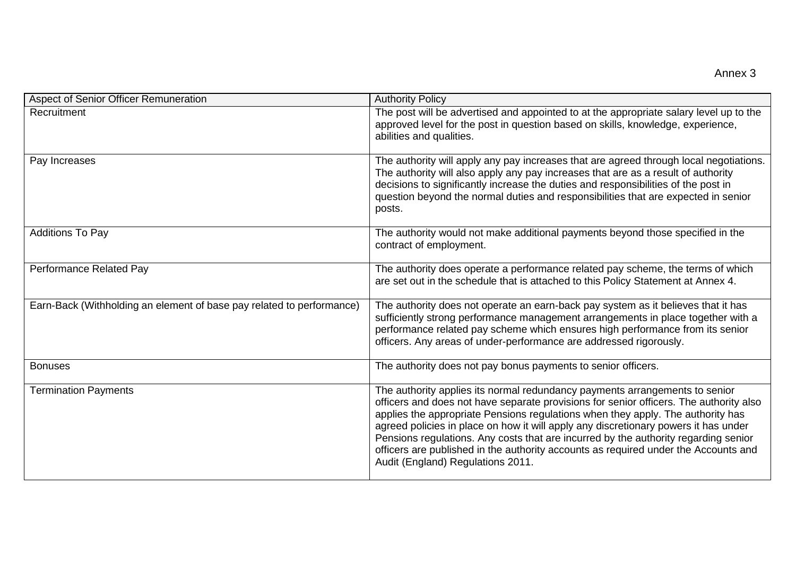| Aspect of Senior Officer Remuneration                                 | <b>Authority Policy</b>                                                                                                                                                                                                                                                                                                                                                                                                                                                                                                                                            |
|-----------------------------------------------------------------------|--------------------------------------------------------------------------------------------------------------------------------------------------------------------------------------------------------------------------------------------------------------------------------------------------------------------------------------------------------------------------------------------------------------------------------------------------------------------------------------------------------------------------------------------------------------------|
| Recruitment                                                           | The post will be advertised and appointed to at the appropriate salary level up to the<br>approved level for the post in question based on skills, knowledge, experience,<br>abilities and qualities.                                                                                                                                                                                                                                                                                                                                                              |
| Pay Increases                                                         | The authority will apply any pay increases that are agreed through local negotiations.<br>The authority will also apply any pay increases that are as a result of authority<br>decisions to significantly increase the duties and responsibilities of the post in<br>question beyond the normal duties and responsibilities that are expected in senior<br>posts.                                                                                                                                                                                                  |
| <b>Additions To Pay</b>                                               | The authority would not make additional payments beyond those specified in the<br>contract of employment.                                                                                                                                                                                                                                                                                                                                                                                                                                                          |
| Performance Related Pay                                               | The authority does operate a performance related pay scheme, the terms of which<br>are set out in the schedule that is attached to this Policy Statement at Annex 4.                                                                                                                                                                                                                                                                                                                                                                                               |
| Earn-Back (Withholding an element of base pay related to performance) | The authority does not operate an earn-back pay system as it believes that it has<br>sufficiently strong performance management arrangements in place together with a<br>performance related pay scheme which ensures high performance from its senior<br>officers. Any areas of under-performance are addressed rigorously.                                                                                                                                                                                                                                       |
| <b>Bonuses</b>                                                        | The authority does not pay bonus payments to senior officers.                                                                                                                                                                                                                                                                                                                                                                                                                                                                                                      |
| <b>Termination Payments</b>                                           | The authority applies its normal redundancy payments arrangements to senior<br>officers and does not have separate provisions for senior officers. The authority also<br>applies the appropriate Pensions regulations when they apply. The authority has<br>agreed policies in place on how it will apply any discretionary powers it has under<br>Pensions regulations. Any costs that are incurred by the authority regarding senior<br>officers are published in the authority accounts as required under the Accounts and<br>Audit (England) Regulations 2011. |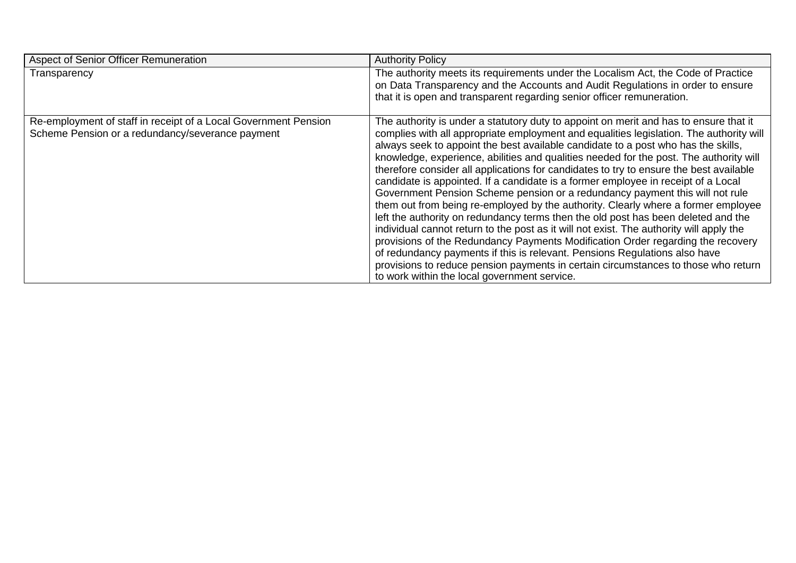| Aspect of Senior Officer Remuneration                                                                               | <b>Authority Policy</b>                                                                                                                                                                                                                                                                                                                                                                                                                                                                                                                                                                                                                                                                                                                                                                                                                                                                                                                                                                                                                                                                                                                                                                                    |
|---------------------------------------------------------------------------------------------------------------------|------------------------------------------------------------------------------------------------------------------------------------------------------------------------------------------------------------------------------------------------------------------------------------------------------------------------------------------------------------------------------------------------------------------------------------------------------------------------------------------------------------------------------------------------------------------------------------------------------------------------------------------------------------------------------------------------------------------------------------------------------------------------------------------------------------------------------------------------------------------------------------------------------------------------------------------------------------------------------------------------------------------------------------------------------------------------------------------------------------------------------------------------------------------------------------------------------------|
| Transparency                                                                                                        | The authority meets its requirements under the Localism Act, the Code of Practice<br>on Data Transparency and the Accounts and Audit Regulations in order to ensure<br>that it is open and transparent regarding senior officer remuneration.                                                                                                                                                                                                                                                                                                                                                                                                                                                                                                                                                                                                                                                                                                                                                                                                                                                                                                                                                              |
| Re-employment of staff in receipt of a Local Government Pension<br>Scheme Pension or a redundancy/severance payment | The authority is under a statutory duty to appoint on merit and has to ensure that it<br>complies with all appropriate employment and equalities legislation. The authority will<br>always seek to appoint the best available candidate to a post who has the skills,<br>knowledge, experience, abilities and qualities needed for the post. The authority will<br>therefore consider all applications for candidates to try to ensure the best available<br>candidate is appointed. If a candidate is a former employee in receipt of a Local<br>Government Pension Scheme pension or a redundancy payment this will not rule<br>them out from being re-employed by the authority. Clearly where a former employee<br>left the authority on redundancy terms then the old post has been deleted and the<br>individual cannot return to the post as it will not exist. The authority will apply the<br>provisions of the Redundancy Payments Modification Order regarding the recovery<br>of redundancy payments if this is relevant. Pensions Regulations also have<br>provisions to reduce pension payments in certain circumstances to those who return<br>to work within the local government service. |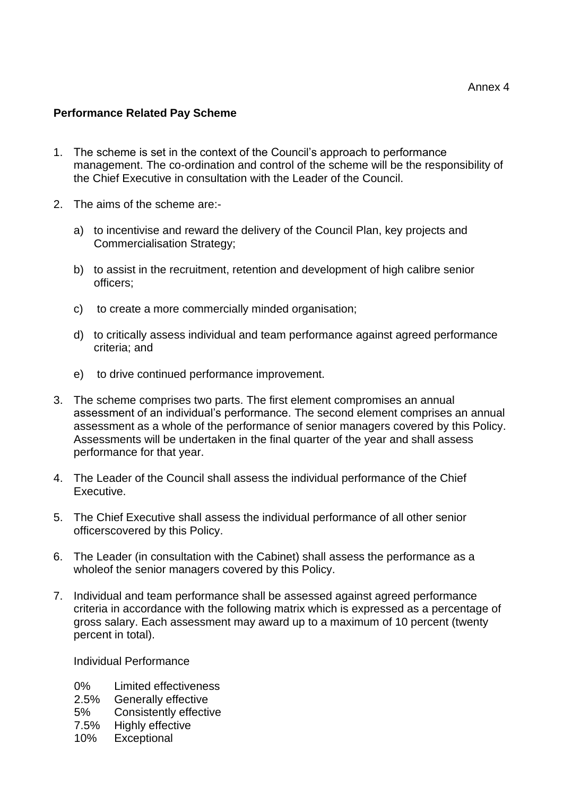### **Performance Related Pay Scheme**

- 1. The scheme is set in the context of the Council's approach to performance management. The co-ordination and control of the scheme will be the responsibility of the Chief Executive in consultation with the Leader of the Council.
- 2. The aims of the scheme are:
	- a) to incentivise and reward the delivery of the Council Plan, key projects and Commercialisation Strategy;
	- b) to assist in the recruitment, retention and development of high calibre senior officers;
	- c) to create a more commercially minded organisation;
	- d) to critically assess individual and team performance against agreed performance criteria; and
	- e) to drive continued performance improvement.
- 3. The scheme comprises two parts. The first element compromises an annual assessment of an individual's performance. The second element comprises an annual assessment as a whole of the performance of senior managers covered by this Policy. Assessments will be undertaken in the final quarter of the year and shall assess performance for that year.
- 4. The Leader of the Council shall assess the individual performance of the Chief Executive.
- 5. The Chief Executive shall assess the individual performance of all other senior officerscovered by this Policy.
- 6. The Leader (in consultation with the Cabinet) shall assess the performance as a wholeof the senior managers covered by this Policy.
- 7. Individual and team performance shall be assessed against agreed performance criteria in accordance with the following matrix which is expressed as a percentage of gross salary. Each assessment may award up to a maximum of 10 percent (twenty percent in total).

Individual Performance

- 0% Limited effectiveness<br>2.5% Generally effective
- Generally effective
- 5% Consistently effective
- 7.5% Highly effective
- 10% Exceptional